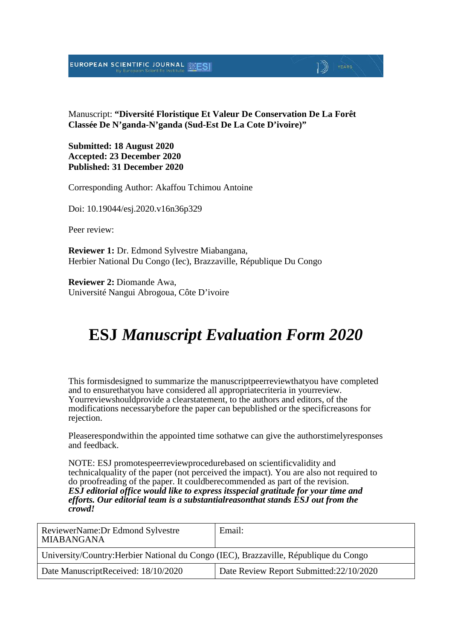#### EUROPEAN SCIENTIFIC JOURNAL

Manuscript: **"Diversité Floristique Et Valeur De Conservation De La Forêt Classée De N'ganda-N'ganda (Sud-Est De La Cote D'ivoire)"**

 $\Box$  Years

**Submitted: 18 August 2020 Accepted: 23 December 2020 Published: 31 December 2020**

Corresponding Author: Akaffou Tchimou Antoine

Doi: 10.19044/esj.2020.v16n36p329

Peer review:

**Reviewer 1:** Dr. Edmond Sylvestre Miabangana, Herbier National Du Congo (Iec), Brazzaville, République Du Congo

**Reviewer 2:** Diomande Awa, Université Nangui Abrogoua, Côte D'ivoire

## **ESJ** *Manuscript Evaluation Form 2020*

This formisdesigned to summarize the manuscriptpeerreviewthatyou have completed and to ensurethatyou have considered all appropriatecriteria in yourreview. Yourreviewshouldprovide a clearstatement, to the authors and editors, of the modifications necessarybefore the paper can bepublished or the specificreasons for rejection.

Pleaserespondwithin the appointed time sothatwe can give the authorstimelyresponses and feedback.

NOTE: ESJ promotespeerreviewprocedurebased on scientificvalidity and technicalquality of the paper (not perceived the impact). You are also not required to do proofreading of the paper. It couldberecommended as part of the revision. *ESJ editorial office would like to express itsspecial gratitude for your time and efforts. Our editorial team is a substantialreasonthat stands ESJ out from the crowd!*

| ReviewerName: Dr Edmond Sylvestre<br><b>MIABANGANA</b>                                | Email:                                   |  |
|---------------------------------------------------------------------------------------|------------------------------------------|--|
| University/Country: Herbier National du Congo (IEC), Brazzaville, République du Congo |                                          |  |
| Date ManuscriptReceived: 18/10/2020                                                   | Date Review Report Submitted: 22/10/2020 |  |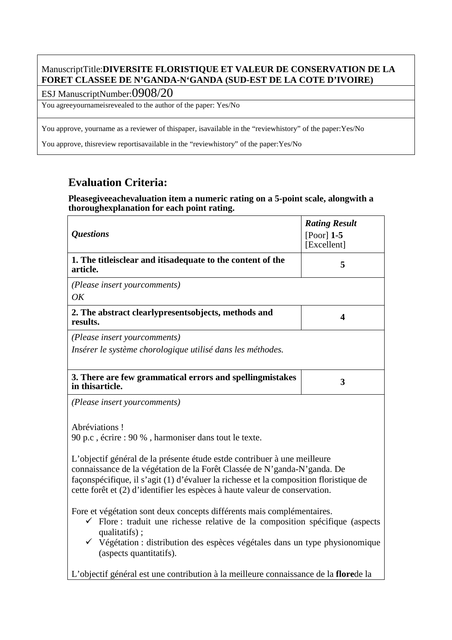#### ManuscriptTitle:**DIVERSITE FLORISTIQUE ET VALEUR DE CONSERVATION DE LA FORET CLASSEE DE N'GANDA-N'GANDA (SUD-EST DE LA COTE D'IVOIRE)**

ESJ ManuscriptNumber:0908/20

You agreeyournameisrevealed to the author of the paper: Yes/No

You approve, yourname as a reviewer of thispaper, isavailable in the "reviewhistory" of the paper:Yes/No

You approve, thisreview reportisavailable in the "reviewhistory" of the paper:Yes/No

### **Evaluation Criteria:**

 $\Gamma$ 

#### **Pleasegiveeachevaluation item a numeric rating on a 5-point scale, alongwith a thoroughexplanation for each point rating.**

| <b>Questions</b>                                                                                                                                                                                                                                                                                                                                                                                        | <b>Rating Result</b><br>[Poor] $1-5$<br>[Excellent] |  |
|---------------------------------------------------------------------------------------------------------------------------------------------------------------------------------------------------------------------------------------------------------------------------------------------------------------------------------------------------------------------------------------------------------|-----------------------------------------------------|--|
| 1. The titleisclear and itisadequate to the content of the<br>article.                                                                                                                                                                                                                                                                                                                                  | 5                                                   |  |
| (Please insert your comments)<br>OK                                                                                                                                                                                                                                                                                                                                                                     |                                                     |  |
| 2. The abstract clearlypresentsobjects, methods and<br>results.                                                                                                                                                                                                                                                                                                                                         | $\overline{\mathbf{4}}$                             |  |
| (Please insert yourcomments)<br>Insérer le système chorologique utilisé dans les méthodes.                                                                                                                                                                                                                                                                                                              |                                                     |  |
| 3. There are few grammatical errors and spelling mistakes<br>in this article.                                                                                                                                                                                                                                                                                                                           | $\overline{\mathbf{3}}$                             |  |
| (Please insert yourcomments)                                                                                                                                                                                                                                                                                                                                                                            |                                                     |  |
| Abréviations!<br>90 p.c, écrire : 90 %, harmoniser dans tout le texte.<br>L'objectif général de la présente étude est de contribuer à une meilleure<br>connaissance de la végétation de la Forêt Classée de N'ganda-N'ganda. De<br>façonspécifique, il s'agit (1) d'évaluer la richesse et la composition floristique de<br>cette forêt et (2) d'identifier les espèces à haute valeur de conservation. |                                                     |  |
| Fore et végétation sont deux concepts différents mais complémentaires.<br>$\checkmark$ Flore : traduit une richesse relative de la composition spécifique (aspects<br>qualitatifs);<br>$\checkmark$ Végétation : distribution des espèces végétales dans un type physionomique<br>(aspects quantitatifs).                                                                                               |                                                     |  |
| L'objectif général est une contribution à la meilleure connaissance de la flore de la                                                                                                                                                                                                                                                                                                                   |                                                     |  |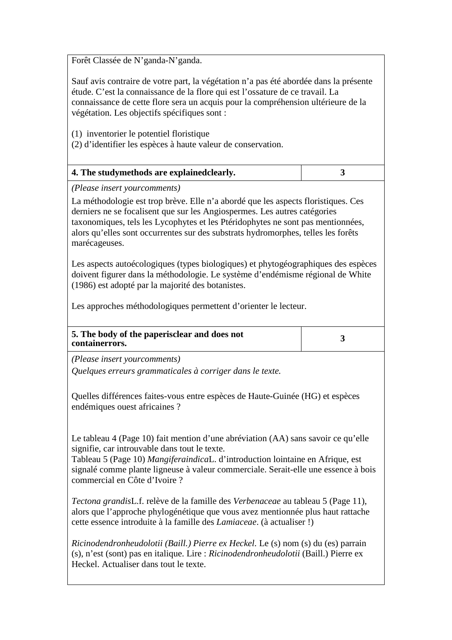Forêt Classée de N'ganda-N'ganda.

Sauf avis contraire de votre part, la végétation n'a pas été abordée dans la présente étude. C'est la connaissance de la flore qui est l'ossature de ce travail. La connaissance de cette flore sera un acquis pour la compréhension ultérieure de la végétation. Les objectifs spécifiques sont :

(1) inventorier le potentiel floristique

(2) d'identifier les espèces à haute valeur de conservation.

| 4. The studymethods are explained clearly. |  |
|--------------------------------------------|--|
|--------------------------------------------|--|

*(Please insert yourcomments)*

La méthodologie est trop brève. Elle n'a abordé que les aspects floristiques. Ces derniers ne se focalisent que sur les Angiospermes. Les autres catégories taxonomiques, tels les Lycophytes et les Ptéridophytes ne sont pas mentionnées, alors qu'elles sont occurrentes sur des substrats hydromorphes, telles les forêts marécageuses.

Les aspects autoécologiques (types biologiques) et phytogéographiques des espèces doivent figurer dans la méthodologie. Le système d'endémisme régional de White (1986) est adopté par la majorité des botanistes.

Les approches méthodologiques permettent d'orienter le lecteur.

| 5. The body of the paperisclear and does not |  |
|----------------------------------------------|--|
| containerrors.                               |  |

*(Please insert yourcomments)*

*Quelques erreurs grammaticales à corriger dans le texte.*

Quelles différences faites-vous entre espèces de Haute-Guinée (HG) et espèces endémiques ouest africaines ?

Le tableau 4 (Page 10) fait mention d'une abréviation (AA) sans savoir ce qu'elle signifie, car introuvable dans tout le texte.

Tableau 5 (Page 10) *Mangiferaindica*L. d'introduction lointaine en Afrique, est signalé comme plante ligneuse à valeur commerciale. Serait-elle une essence à bois commercial en Côte d'Ivoire ?

*Tectona grandis*L.f. relève de la famille des *Verbenaceae* au tableau 5 (Page 11), alors que l'approche phylogénétique que vous avez mentionnée plus haut rattache cette essence introduite à la famille des *Lamiaceae*. (à actualiser !)

*Ricinodendronheudolotii (Baill.) Pierre ex Heckel.* Le (s) nom (s) du (es) parrain (s), n'est (sont) pas en italique. Lire : *Ricinodendronheudolotii* (Baill.) Pierre ex Heckel. Actualiser dans tout le texte.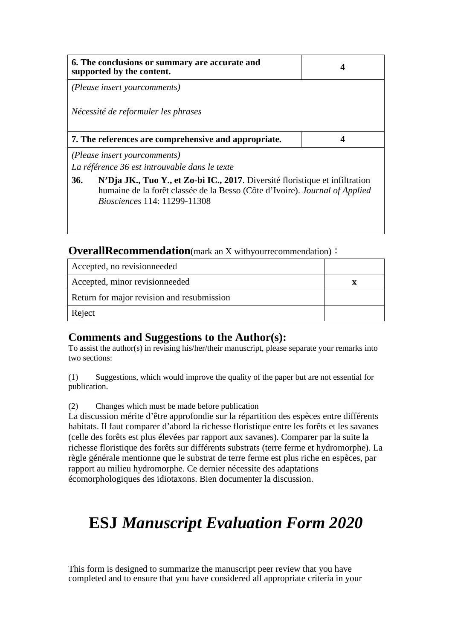|                                                                                                                                                                                                                  | 6. The conclusions or summary are accurate and<br>supported by the content.    |  |
|------------------------------------------------------------------------------------------------------------------------------------------------------------------------------------------------------------------|--------------------------------------------------------------------------------|--|
|                                                                                                                                                                                                                  | (Please insert yourcomments)                                                   |  |
|                                                                                                                                                                                                                  | Nécessité de reformuler les phrases                                            |  |
|                                                                                                                                                                                                                  | 7. The references are comprehensive and appropriate.                           |  |
|                                                                                                                                                                                                                  | (Please insert your comments)<br>La référence 36 est introuvable dans le texte |  |
| <b>36.</b><br>N'Dja JK., Tuo Y., et Zo-bi IC., 2017. Diversité floristique et infiltration<br>humaine de la forêt classée de la Besso (Côte d'Ivoire). Journal of Applied<br><i>Biosciences</i> 114: 11299-11308 |                                                                                |  |

#### **OverallRecommendation**(mark an X withyourrecommendation):

| Accepted, no revisionneeded                |  |
|--------------------------------------------|--|
| Accepted, minor revisionneeded             |  |
| Return for major revision and resubmission |  |
| Reject                                     |  |

#### **Comments and Suggestions to the Author(s):**

To assist the author(s) in revising his/her/their manuscript, please separate your remarks into two sections:

(1) Suggestions, which would improve the quality of the paper but are not essential for publication.

(2) Changes which must be made before publication

La discussion mérite d'être approfondie sur la répartition des espèces entre différents habitats. Il faut comparer d'abord la richesse floristique entre les forêts et les savanes (celle des forêts est plus élevées par rapport aux savanes). Comparer par la suite la richesse floristique des forêts sur différents substrats (terre ferme et hydromorphe). La règle générale mentionne que le substrat de terre ferme est plus riche en espèces, par rapport au milieu hydromorphe. Ce dernier nécessite des adaptations écomorphologiques des idiotaxons. Bien documenter la discussion.

# **ESJ** *Manuscript Evaluation Form 2020*

This form is designed to summarize the manuscript peer review that you have completed and to ensure that you have considered all appropriate criteria in your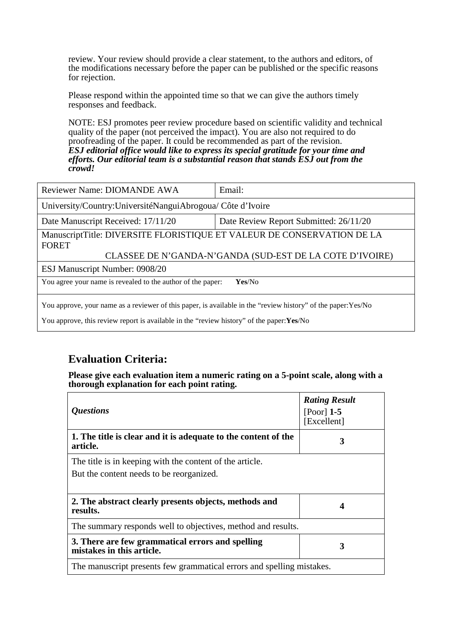review. Your review should provide a clear statement, to the authors and editors, of the modifications necessary before the paper can be published or the specific reasons for rejection.

Please respond within the appointed time so that we can give the authors timely responses and feedback.

NOTE: ESJ promotes peer review procedure based on scientific validity and technical quality of the paper (not perceived the impact). You are also not required to do proofreading of the paper. It could be recommended as part of the revision. *ESJ editorial office would like to express its special gratitude for your time and efforts. Our editorial team is a substantial reason that stands ESJ out from the crowd!* 

| Reviewer Name: DIOMANDE AWA                                                                                                                                                                                | Email:                                 |  |
|------------------------------------------------------------------------------------------------------------------------------------------------------------------------------------------------------------|----------------------------------------|--|
| University/Country: Université Nangui Abrogoua/ Côte d'Ivoire                                                                                                                                              |                                        |  |
| Date Manuscript Received: 17/11/20                                                                                                                                                                         | Date Review Report Submitted: 26/11/20 |  |
| ManuscriptTitle: DIVERSITE FLORISTIQUE ET VALEUR DE CONSERVATION DE LA<br><b>FORET</b>                                                                                                                     |                                        |  |
| CLASSEE DE N'GANDA-N'GANDA (SUD-EST DE LA COTE D'IVOIRE)<br>ESJ Manuscript Number: 0908/20                                                                                                                 |                                        |  |
| You agree your name is revealed to the author of the paper:<br>Yes/No                                                                                                                                      |                                        |  |
| You approve, your name as a reviewer of this paper, is available in the "review history" of the paper: Yes/No<br>You approve, this review report is available in the "review history" of the paper: Yes/No |                                        |  |

#### **Evaluation Criteria:**

**Please give each evaluation item a numeric rating on a 5-point scale, along with a thorough explanation for each point rating.**

| <i><b>Questions</b></i>                                                                              | <b>Rating Result</b><br>$[Poor]$ 1-5<br>[Excellent] |
|------------------------------------------------------------------------------------------------------|-----------------------------------------------------|
| 1. The title is clear and it is adequate to the content of the<br>article.                           | 3                                                   |
| The title is in keeping with the content of the article.<br>But the content needs to be reorganized. |                                                     |
| 2. The abstract clearly presents objects, methods and<br>results.                                    | 4                                                   |
| The summary responds well to objectives, method and results.                                         |                                                     |
| 3. There are few grammatical errors and spelling<br>mistakes in this article.                        | 3                                                   |
| The manuscript presents few grammatical errors and spelling mistakes.                                |                                                     |